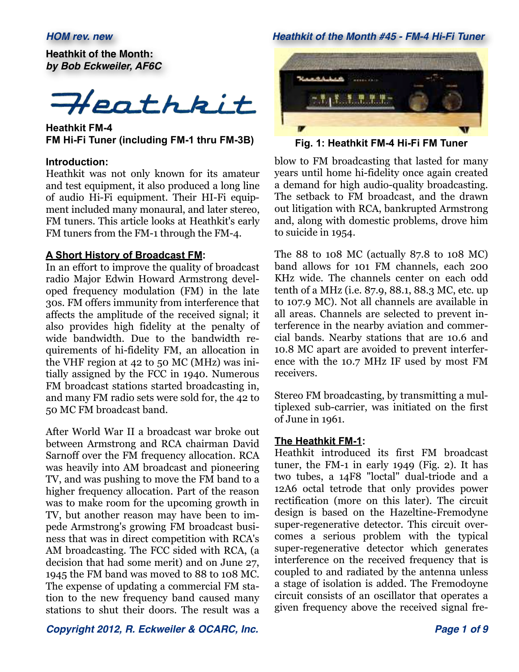**Heathkit of the Month:** *by Bob Eckweiler, AF6C*



**Heathkit FM-4 FM Hi-Fi Tuner (including FM-1 thru FM-3B)**

#### **Introduction:**

Heathkit was not only known for its amateur and test equipment, it also produced a long line of audio Hi-Fi equipment. Their HI-Fi equipment included many monaural, and later stereo, FM tuners. This article looks at Heathkit's early FM tuners from the FM-1 through the FM-4.

#### **A Short History of Broadcast FM:**

In an effort to improve the quality of broadcast radio Major Edwin Howard Armstrong developed frequency modulation (FM) in the late 30s. FM offers immunity from interference that affects the amplitude of the received signal; it also provides high fidelity at the penalty of wide bandwidth. Due to the bandwidth requirements of hi-fidelity FM, an allocation in the VHF region at 42 to 50 MC (MHz) was initially assigned by the FCC in 1940. Numerous FM broadcast stations started broadcasting in, and many FM radio sets were sold for, the 42 to 50 MC FM broadcast band.

After World War II a broadcast war broke out between Armstrong and RCA chairman David Sarnoff over the FM frequency allocation. RCA was heavily into AM broadcast and pioneering TV, and was pushing to move the FM band to a higher frequency allocation. Part of the reason was to make room for the upcoming growth in TV, but another reason may have been to impede Armstrong's growing FM broadcast business that was in direct competition with RCA's AM broadcasting. The FCC sided with RCA, (a decision that had some merit) and on June 27, 1945 the FM band was moved to 88 to 108 MC. The expense of updating a commercial FM station to the new frequency band caused many stations to shut their doors. The result was a

### *HOM rev. new Heathkit of the Month #45 - FM-4 Hi-Fi Tuner*



**Fig. 1: Heathkit FM-4 Hi-Fi FM Tuner**

blow to FM broadcasting that lasted for many years until home hi-fidelity once again created a demand for high audio-quality broadcasting. The setback to FM broadcast, and the drawn out litigation with RCA, bankrupted Armstrong and, along with domestic problems, drove him to suicide in 1954.

The 88 to 108 MC (actually 87.8 to 108 MC) band allows for 101 FM channels, each 200 KHz wide. The channels center on each odd tenth of a MHz (i.e. 87.9, 88.1, 88.3 MC, etc. up to 107.9 MC). Not all channels are available in all areas. Channels are selected to prevent interference in the nearby aviation and commercial bands. Nearby stations that are 10.6 and 10.8 MC apart are avoided to prevent interference with the 10.7 MHz IF used by most FM receivers.

Stereo FM broadcasting, by transmitting a multiplexed sub-carrier, was initiated on the first of June in 1961.

#### **The Heathkit FM-1:**

Heathkit introduced its first FM broadcast tuner, the FM-1 in early 1949 (Fig. 2). It has two tubes, a 14F8 "loctal" dual-triode and a 12A6 octal tetrode that only provides power rectification (more on this later). The circuit design is based on the Hazeltine-Fremodyne super-regenerative detector. This circuit overcomes a serious problem with the typical super-regenerative detector which generates interference on the received frequency that is coupled to and radiated by the antenna unless a stage of isolation is added. The Fremodoyne circuit consists of an oscillator that operates a given frequency above the received signal fre-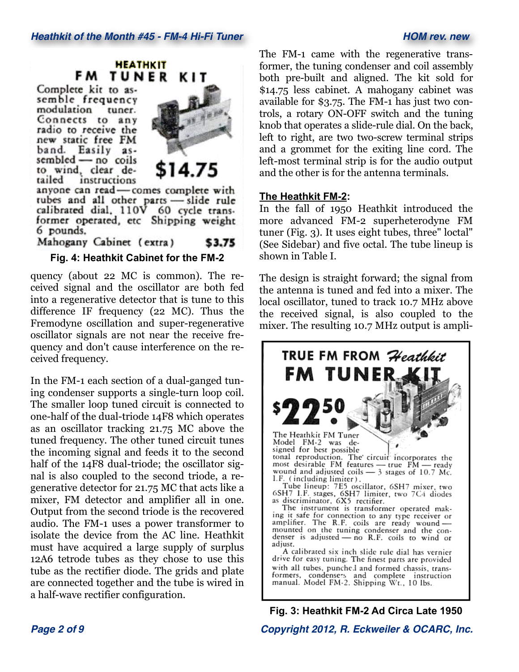# **HEATHKIT FM TUNER KIT**

Complete kit to assemble frequency modulation tuner. Connects to any radio to receive the new static free FM band. Easily assembled - no coils to wind, clear detailed instructions



anyone can read-comes complete with tubes and all other parts - slide rule<br>calibrated dial, 110V 60 cycle trans-<br>former operated, etc Shipping weight 6 pounds.

Mahogany Cabinet (extra) \$3.75

# **Fig. 4: Heathkit Cabinet for the FM-2**

quency (about 22 MC is common). The received signal and the oscillator are both fed into a regenerative detector that is tune to this difference IF frequency (22 MC). Thus the Fremodyne oscillation and super-regenerative oscillator signals are not near the receive frequency and don't cause interference on the received frequency.

In the FM-1 each section of a dual-ganged tuning condenser supports a single-turn loop coil. The smaller loop tuned circuit is connected to one-half of the dual-triode 14F8 which operates as an oscillator tracking 21.75 MC above the tuned frequency. The other tuned circuit tunes the incoming signal and feeds it to the second half of the 14F8 dual-triode; the oscillator signal is also coupled to the second triode, a regenerative detector for 21.75 MC that acts like a mixer, FM detector and amplifier all in one. Output from the second triode is the recovered audio. The FM-1 uses a power transformer to isolate the device from the AC line. Heathkit must have acquired a large supply of surplus 12A6 tetrode tubes as they chose to use this tube as the rectifier diode. The grids and plate are connected together and the tube is wired in a half-wave rectifier configuration.

The FM-1 came with the regenerative transformer, the tuning condenser and coil assembly both pre-built and aligned. The kit sold for \$14.75 less cabinet. A mahogany cabinet was available for \$3.75. The FM-1 has just two controls, a rotary ON-OFF switch and the tuning knob that operates a slide-rule dial. On the back, left to right, are two two-screw terminal strips and a grommet for the exiting line cord. The left-most terminal strip is for the audio output and the other is for the antenna terminals.

### **The Heathkit FM-2:**

In the fall of 1950 Heathkit introduced the more advanced FM-2 superheterodyne FM tuner (Fig. 3). It uses eight tubes, three" loctal" (See Sidebar) and five octal. The tube lineup is shown in Table I.

The design is straight forward; the signal from the antenna is tuned and fed into a mixer. The local oscillator, tuned to track 10.7 MHz above the received signal, is also coupled to the mixer. The resulting 10.7 MHz output is ampli-



**Fig. 3: Heathkit FM-2 Ad Circa Late 1950**

*Page 2 of 9 Copyright 2012, R. Eckweiler & OCARC, Inc.*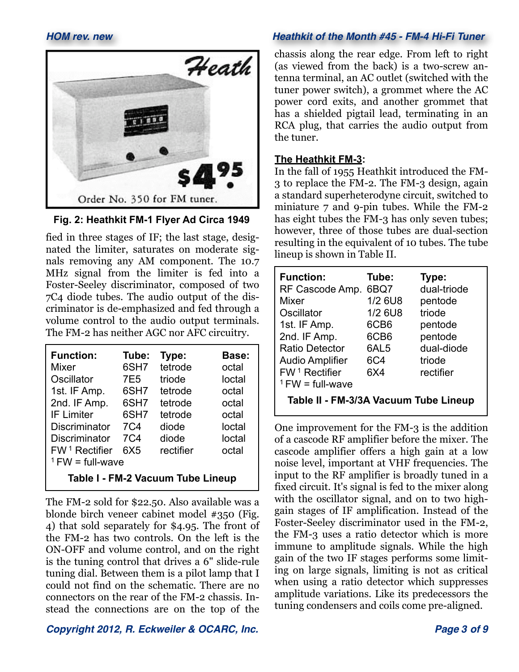

**Fig. 2: Heathkit FM-1 Flyer Ad Circa 1949**

fied in three stages of IF; the last stage, designated the limiter, saturates on moderate signals removing any AM component. The 10.7 MHz signal from the limiter is fed into a Foster-Seeley discriminator, composed of two 7C4 diode tubes. The audio output of the discriminator is de-emphasized and fed through a volume control to the audio output terminals. The FM-2 has neither AGC nor AFC circuitry.

| <b>Function:</b>                  | Tube:      | Type:     | Base:  |  |
|-----------------------------------|------------|-----------|--------|--|
| Mixer                             | 6SH7       | tetrode   | octal  |  |
| Oscillator                        | 7E5        | triode    | loctal |  |
| 1st. IF Amp.                      | 6SH7       | tetrode   | octal  |  |
| 2nd. IF Amp.                      | 6SH7       | tetrode   | octal  |  |
| <b>IF Limiter</b>                 | 6SH7       | tetrode   | octal  |  |
| <b>Discriminator</b>              | <b>7C4</b> | diode     | loctal |  |
| <b>Discriminator</b>              | <b>7C4</b> | diode     | loctal |  |
| $FW1$ Rectifier                   | 6X5        | rectifier | octal  |  |
| $1$ FW = full-wave                |            |           |        |  |
| Table I - FM-2 Vacuum Tube Lineup |            |           |        |  |

The FM-2 sold for \$22.50. Also available was a blonde birch veneer cabinet model #350 (Fig. 4) that sold separately for \$4.95. The front of the FM-2 has two controls. On the left is the ON-OFF and volume control, and on the right is the tuning control that drives a 6" slide-rule tuning dial. Between them is a pilot lamp that I could not find on the schematic. There are no connectors on the rear of the FM-2 chassis. Instead the connections are on the top of the

# *Copyright 2012, R. Eckweiler & OCARC, Inc. Page 3 of 9*

# *HOM rev. new Heathkit of the Month #45 - FM-4 Hi-Fi Tuner*

chassis along the rear edge. From left to right (as viewed from the back) is a two-screw antenna terminal, an AC outlet (switched with the tuner power switch), a grommet where the AC power cord exits, and another grommet that has a shielded pigtail lead, terminating in an RCA plug, that carries the audio output from the tuner.

# **The Heathkit FM-3:**

In the fall of 1955 Heathkit introduced the FM-3 to replace the FM-2. The FM-3 design, again a standard superheterodyne circuit, switched to miniature 7 and 9-pin tubes. While the FM-2 has eight tubes the FM-3 has only seven tubes; however, three of those tubes are dual-section resulting in the equivalent of 10 tubes. The tube lineup is shown in Table II.

| <b>Function:</b><br>RF Cascode Amp.<br>Mixer<br>Oscillator<br>1st. IF Amp.<br>2nd. IF Amp.<br><b>Ratio Detector</b><br><b>Audio Amplifier</b> | Tube:<br>6BQ7<br>1/2 6U8<br>1/2 6U8<br>6CB6<br>6CB <sub>6</sub><br>6AL5<br>6C4 | Type:<br>dual-triode<br>pentode<br>triode<br>pentode<br>pentode<br>dual-diode<br>triode |  |  |
|-----------------------------------------------------------------------------------------------------------------------------------------------|--------------------------------------------------------------------------------|-----------------------------------------------------------------------------------------|--|--|
| $FW1$ Rectifier                                                                                                                               | 6X4                                                                            | rectifier                                                                               |  |  |
| $1$ FW = full-wave<br>Table II - FM-3/3A Vacuum Tube Lineup                                                                                   |                                                                                |                                                                                         |  |  |

One improvement for the FM-3 is the addition of a cascode RF amplifier before the mixer. The cascode amplifier offers a high gain at a low noise level, important at VHF frequencies. The input to the RF amplifier is broadly tuned in a fixed circuit. It's signal is fed to the mixer along with the oscillator signal, and on to two highgain stages of IF amplification. Instead of the Foster-Seeley discriminator used in the FM-2, the FM-3 uses a ratio detector which is more immune to amplitude signals. While the high gain of the two IF stages performs some limiting on large signals, limiting is not as critical when using a ratio detector which suppresses amplitude variations. Like its predecessors the tuning condensers and coils come pre-aligned.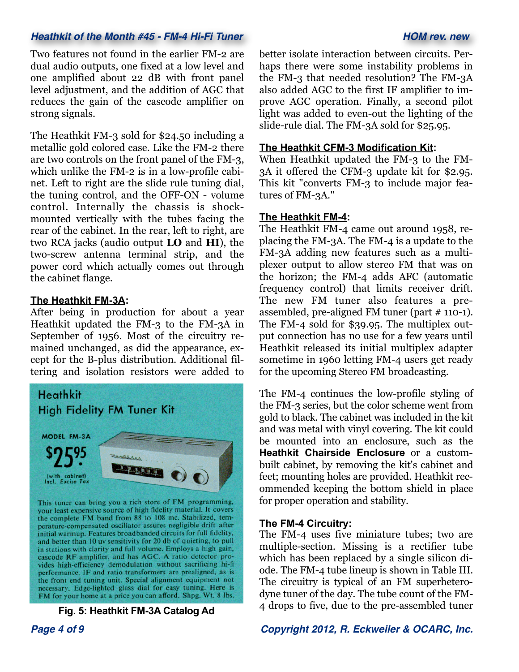# *Heathkit of the Month #45 - FM-4 Hi-Fi Tuner HOM rev. new*

Two features not found in the earlier FM-2 are dual audio outputs, one fixed at a low level and one amplified about 22 dB with front panel level adjustment, and the addition of AGC that reduces the gain of the cascode amplifier on strong signals.

The Heathkit FM-3 sold for \$24.50 including a metallic gold colored case. Like the FM-2 there are two controls on the front panel of the FM-3, which unlike the FM-2 is in a low-profile cabinet. Left to right are the slide rule tuning dial, the tuning control, and the OFF-ON - volume control. Internally the chassis is shockmounted vertically with the tubes facing the rear of the cabinet. In the rear, left to right, are two RCA jacks (audio output **LO** and **HI**), the two-screw antenna terminal strip, and the power cord which actually comes out through the cabinet flange.

### **The Heathkit FM-3A:**

After being in production for about a year Heathkit updated the FM-3 to the FM-3A in September of 1956. Most of the circuitry remained unchanged, as did the appearance, except for the B-plus distribution. Additional filtering and isolation resistors were added to



**Fig. 5: Heathkit FM-3A Catalog Ad**

better isolate interaction between circuits. Perhaps there were some instability problems in the FM-3 that needed resolution? The FM-3A also added AGC to the first IF amplifier to improve AGC operation. Finally, a second pilot light was added to even-out the lighting of the slide-rule dial. The FM-3A sold for \$25.95.

#### **The Heathkit CFM-3 Modification Kit:**

When Heathkit updated the FM-3 to the FM-3A it offered the CFM-3 update kit for \$2.95. This kit "converts FM-3 to include major features of FM-3A."

### **The Heathkit FM-4:**

The Heathkit FM-4 came out around 1958, replacing the FM-3A. The FM-4 is a update to the FM-3A adding new features such as a multiplexer output to allow stereo FM that was on the horizon; the FM-4 adds AFC (automatic frequency control) that limits receiver drift. The new FM tuner also features a preassembled, pre-aligned FM tuner (part # 110-1). The FM-4 sold for \$39.95. The multiplex output connection has no use for a few years until Heathkit released its initial multiplex adapter sometime in 1960 letting FM-4 users get ready for the upcoming Stereo FM broadcasting.

The FM-4 continues the low-profile styling of the FM-3 series, but the color scheme went from gold to black. The cabinet was included in the kit and was metal with vinyl covering. The kit could be mounted into an enclosure, such as the **Heathkit Chairside Enclosure** or a custombuilt cabinet, by removing the kit's cabinet and feet; mounting holes are provided. Heathkit recommended keeping the bottom shield in place for proper operation and stability.

#### **The FM-4 Circuitry:**

The FM-4 uses five miniature tubes; two are multiple-section. Missing is a rectifier tube which has been replaced by a single silicon diode. The FM-4 tube lineup is shown in Table III. The circuitry is typical of an FM superheterodyne tuner of the day. The tube count of the FM-4 drops to five, due to the pre-assembled tuner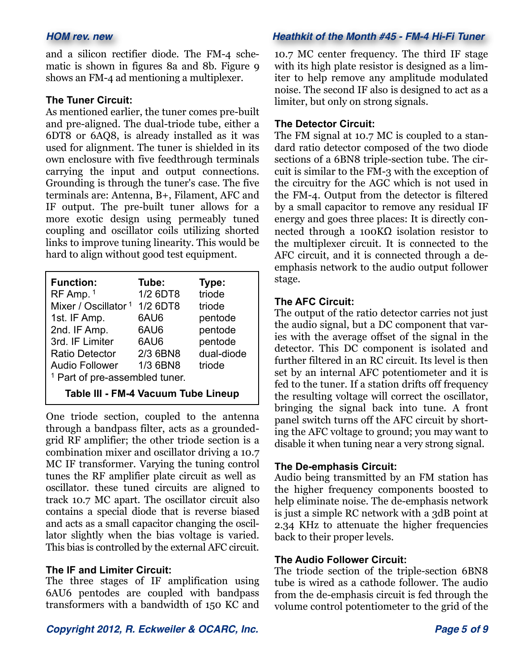and a silicon rectifier diode. The FM-4 schematic is shown in figures 8a and 8b. Figure 9 shows an FM-4 ad mentioning a multiplexer.

#### **The Tuner Circuit:**

As mentioned earlier, the tuner comes pre-built and pre-aligned. The dual-triode tube, either a 6DT8 or 6AQ8, is already installed as it was used for alignment. The tuner is shielded in its own enclosure with five feedthrough terminals carrying the input and output connections. Grounding is through the tuner's case. The five terminals are: Antenna, B+, Filament, AFC and IF output. The pre-built tuner allows for a more exotic design using permeably tuned coupling and oscillator coils utilizing shorted links to improve tuning linearity. This would be hard to align without good test equipment.

| <b>Function:</b>                          | Tube:    | Type:      |  |  |
|-------------------------------------------|----------|------------|--|--|
| RF Amp. 1                                 | 1/2 6DT8 | triode     |  |  |
| Mixer / Oscillator <sup>1</sup>           | 1/2 6DT8 | triode     |  |  |
| 1st. IF Amp.                              | 6AU6     | pentode    |  |  |
| 2nd. IF Amp.                              | 6AU6     | pentode    |  |  |
| 3rd. IF Limiter                           | 6AU6     | pentode    |  |  |
| <b>Ratio Detector</b>                     | 2/3 6BN8 | dual-diode |  |  |
| <b>Audio Follower</b>                     | 1/3 6BN8 | triode     |  |  |
| <sup>1</sup> Part of pre-assembled tuner. |          |            |  |  |
| Table III - FM-4 Vacuum Tube Lineup       |          |            |  |  |

One triode section, coupled to the antenna through a bandpass filter, acts as a groundedgrid RF amplifier; the other triode section is a combination mixer and oscillator driving a 10.7 MC IF transformer. Varying the tuning control tunes the RF amplifier plate circuit as well as oscillator. these tuned circuits are aligned to track 10.7 MC apart. The oscillator circuit also contains a special diode that is reverse biased and acts as a small capacitor changing the oscillator slightly when the bias voltage is varied. This bias is controlled by the external AFC circuit.

#### **The IF and Limiter Circuit:**

The three stages of IF amplification using 6AU6 pentodes are coupled with bandpass transformers with a bandwidth of 150 KC and

#### *HOM rev. new Heathkit of the Month #45 - FM-4 Hi-Fi Tuner*

10.7 MC center frequency. The third IF stage with its high plate resistor is designed as a limiter to help remove any amplitude modulated noise. The second IF also is designed to act as a limiter, but only on strong signals.

#### **The Detector Circuit:**

The FM signal at 10.7 MC is coupled to a standard ratio detector composed of the two diode sections of a 6BN8 triple-section tube. The circuit is similar to the FM-3 with the exception of the circuitry for the AGC which is not used in the FM-4. Output from the detector is filtered by a small capacitor to remove any residual IF energy and goes three places: It is directly connected through a 100KΩ isolation resistor to the multiplexer circuit. It is connected to the AFC circuit, and it is connected through a deemphasis network to the audio output follower stage.

#### **The AFC Circuit:**

The output of the ratio detector carries not just the audio signal, but a DC component that varies with the average offset of the signal in the detector. This DC component is isolated and further filtered in an RC circuit. Its level is then set by an internal AFC potentiometer and it is fed to the tuner. If a station drifts off frequency the resulting voltage will correct the oscillator, bringing the signal back into tune. A front panel switch turns off the AFC circuit by shorting the AFC voltage to ground; you may want to disable it when tuning near a very strong signal.

#### **The De-emphasis Circuit:**

Audio being transmitted by an FM station has the higher frequency components boosted to help eliminate noise. The de-emphasis network is just a simple RC network with a 3dB point at 2.34 KHz to attenuate the higher frequencies back to their proper levels.

#### **The Audio Follower Circuit:**

The triode section of the triple-section 6BN8 tube is wired as a cathode follower. The audio from the de-emphasis circuit is fed through the volume control potentiometer to the grid of the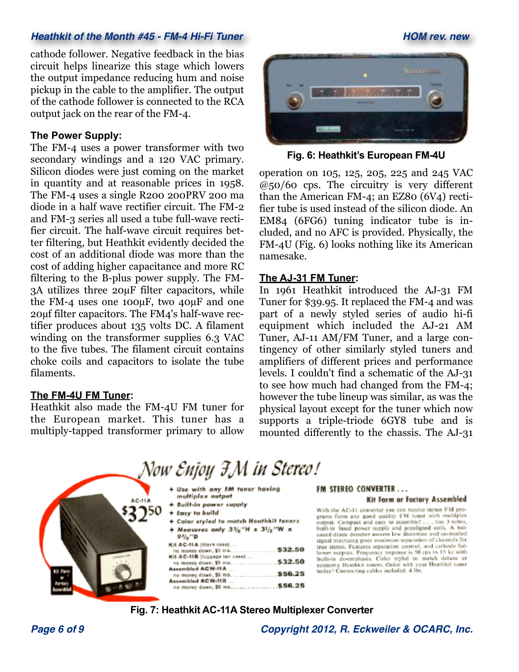# *Heathkit of the Month #45 - FM-4 Hi-Fi Tuner HOM rev. new*

cathode follower. Negative feedback in the bias circuit helps linearize this stage which lowers the output impedance reducing hum and noise pickup in the cable to the amplifier. The output of the cathode follower is connected to the RCA output jack on the rear of the FM-4.

### **The Power Supply:**

The FM-4 uses a power transformer with two secondary windings and a 120 VAC primary. Silicon diodes were just coming on the market in quantity and at reasonable prices in 1958. The FM-4 uses a single R200 200PRV 200 ma diode in a half wave rectifier circuit. The FM-2 and FM-3 series all used a tube full-wave rectifier circuit. The half-wave circuit requires better filtering, but Heathkit evidently decided the cost of an additional diode was more than the cost of adding higher capacitance and more RC filtering to the B-plus power supply. The FM-3A utilizes three 20µF filter capacitors, while the FM-4 uses one 100µF, two 40µF and one 20µf filter capacitors. The FM4's half-wave rectifier produces about 135 volts DC. A filament winding on the transformer supplies 6.3 VAC to the five tubes. The filament circuit contains choke coils and capacitors to isolate the tube filaments.

# **The FM-4U FM Tuner:**

Heathkit also made the FM-4U FM tuner for the European market. This tuner has a multiply-tapped transformer primary to allow



**Fig. 6: Heathkit's European FM-4U**

operation on 105, 125, 205, 225 and 245 VAC @50/60 cps. The circuitry is very different than the American FM-4; an EZ80 (6V4) rectifier tube is used instead of the silicon diode. An EM84 (6FG6) tuning indicator tube is included, and no AFC is provided. Physically, the FM-4U (Fig. 6) looks nothing like its American namesake.

#### **The AJ-31 FM Tuner:**

In 1961 Heathkit introduced the AJ-31 FM Tuner for \$39.95. It replaced the FM-4 and was part of a newly styled series of audio hi-fi equipment which included the AJ-21 AM Tuner, AJ-11 AM/FM Tuner, and a large contingency of other similarly styled tuners and amplifiers of different prices and performance levels. I couldn't find a schematic of the AJ-31 to see how much had changed from the FM-4; however the tube lineup was similar, as was the physical layout except for the tuner which now supports a triple-triode 6GY8 tube and is mounted differently to the chassis. The AJ-31



#### **Fig. 7: Heathkit AC-11A Stereo Multiplexer Converter**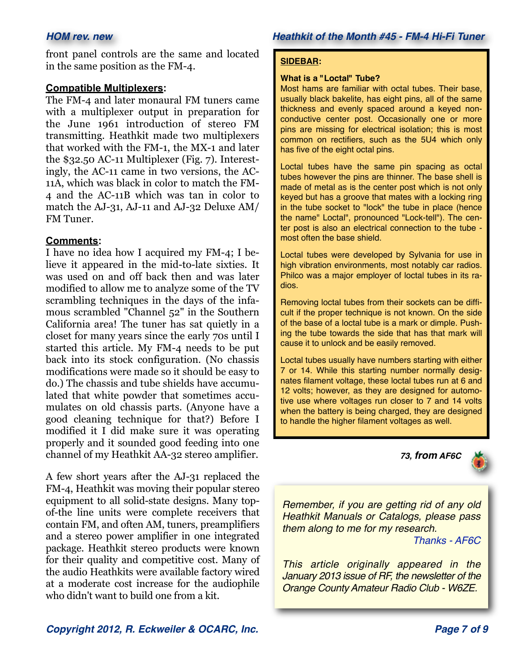front panel controls are the same and located in the same position as the FM-4.

#### **Compatible Multiplexers:**

The FM-4 and later monaural FM tuners came with a multiplexer output in preparation for the June 1961 introduction of stereo FM transmitting. Heathkit made two multiplexers that worked with the FM-1, the MX-1 and later the \$32.50 AC-11 Multiplexer (Fig. 7). Interestingly, the AC-11 came in two versions, the AC-11A, which was black in color to match the FM-4 and the AC-11B which was tan in color to match the AJ-31, AJ-11 and AJ-32 Deluxe AM/ FM Tuner.

#### **Comments:**

I have no idea how I acquired my FM-4; I believe it appeared in the mid-to-late sixties. It was used on and off back then and was later modified to allow me to analyze some of the TV scrambling techniques in the days of the infamous scrambled "Channel 52" in the Southern California area! The tuner has sat quietly in a closet for many years since the early 70s until I started this article. My FM-4 needs to be put back into its stock configuration. (No chassis modifications were made so it should be easy to do.) The chassis and tube shields have accumulated that white powder that sometimes accumulates on old chassis parts. (Anyone have a good cleaning technique for that?) Before I modified it I did make sure it was operating properly and it sounded good feeding into one channel of my Heathkit AA-32 stereo amplifier.

A few short years after the AJ-31 replaced the FM-4, Heathkit was moving their popular stereo equipment to all solid-state designs. Many topof-the line units were complete receivers that contain FM, and often AM, tuners, preamplifiers and a stereo power amplifier in one integrated package. Heathkit stereo products were known for their quality and competitive cost. Many of the audio Heathkits were available factory wired at a moderate cost increase for the audiophile who didn't want to build one from a kit.

#### **SIDEBAR:**

#### **What is a "Loctal" Tube?**

Most hams are familiar with octal tubes. Their base, usually black bakelite, has eight pins, all of the same thickness and evenly spaced around a keyed nonconductive center post. Occasionally one or more pins are missing for electrical isolation; this is most common on rectifiers, such as the 5U4 which only has five of the eight octal pins.

Loctal tubes have the same pin spacing as octal tubes however the pins are thinner. The base shell is made of metal as is the center post which is not only keyed but has a groove that mates with a locking ring in the tube socket to "lock" the tube in place (hence the name" Loctal", pronounced "Lock-tell"). The center post is also an electrical connection to the tube most often the base shield.

Loctal tubes were developed by Sylvania for use in high vibration environments, most notably car radios. Philco was a major employer of loctal tubes in its radios.

Removing loctal tubes from their sockets can be difficult if the proper technique is not known. On the side of the base of a loctal tube is a mark or dimple. Pushing the tube towards the side that has that mark will cause it to unlock and be easily removed.

Loctal tubes usually have numbers starting with either 7 or 14. While this starting number normally designates filament voltage, these loctal tubes run at 6 and 12 volts; however, as they are designed for automotive use where voltages run closer to 7 and 14 volts when the battery is being charged, they are designed to handle the higher filament voltages as well.





*Remember, if you are getting rid of any old Heathkit Manuals or Catalogs, please pass them along to me for my research.*

*[Thanks - AF6C](mailto:af6c@w6ze.org?subject=Heathkit%20of%20the%20Month%20%231)*

*This article originally appeared in the January 2013 issue of RF, the newsletter of the Orange County Amateur Radio Club - W6ZE.*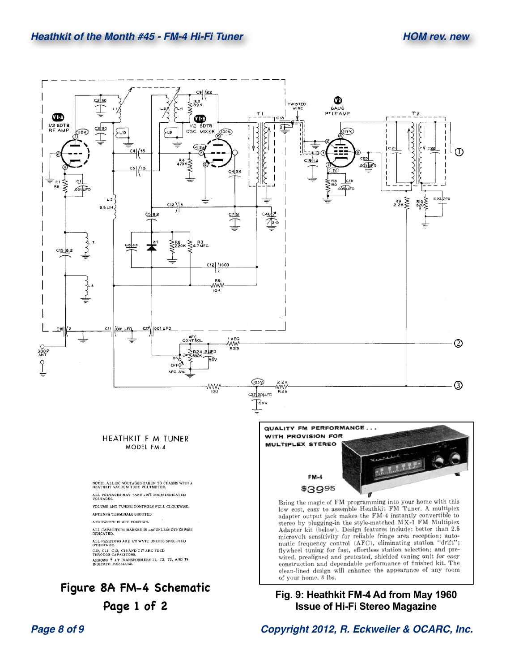

**Page 1 of 2**

*Page 8 of 9 Copyright 2012, R. Eckweiler & OCARC, Inc.*

**Issue of Hi-Fi Stereo Magazine**